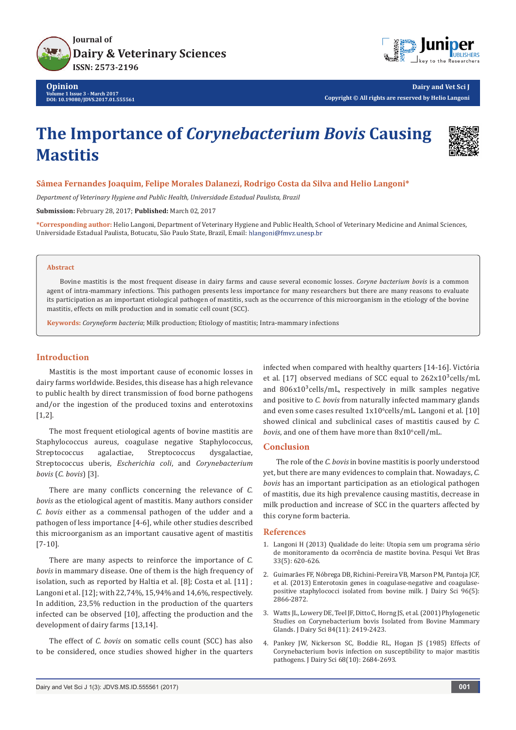



**Dairy and Vet Sci J Copyright © All rights are reserved by Helio Langoni**

# **The Importance of** *Corynebacterium Bovis* **Causing Mastitis**



## **Sâmea Fernandes Joaquim, Felipe Morales Dalanezi, Rodrigo Costa da Silva and Helio Langoni\***

*Department of Veterinary Hygiene and Public Health, Universidade Estadual Paulista, Brazil*

**Submission:** February 28, 2017; **Published:** March 02, 2017

**\*Corresponding author:** Helio Langoni, Department of Veterinary Hygiene and Public Health, School of Veterinary Medicine and Animal Sciences, Universidade Estadual Paulista, Botucatu, São Paulo State, Brazil, Email:

### **Abstract**

Bovine mastitis is the most frequent disease in dairy farms and cause several economic losses. *Coryne bacterium bovis* is a common agent of intra-mammary infections. This pathogen presents less importance for many researchers but there are many reasons to evaluate its participation as an important etiological pathogen of mastitis, such as the occurrence of this microorganism in the etiology of the bovine mastitis, effects on milk production and in somatic cell count (SCC).

**Keywords:** *Coryneform bacteria*; Milk production; Etiology of mastitis; Intra-mammary infections

# **Introduction**

Mastitis is the most important cause of economic losses in dairy farms worldwide. Besides, this disease has a high relevance to public health by direct transmission of food borne pathogens and/or the ingestion of the produced toxins and enterotoxins [1,2].

The most frequent etiological agents of bovine mastitis are Staphylococcus aureus, coagulase negative Staphylococcus, Streptococcus agalactiae, Streptococcus dysgalactiae, Streptococcus uberis, *Escherichia coli*, and *Corynebacterium bovis* (*C. bovis*) [3].

There are many conflicts concerning the relevance of *C. bovis* as the etiological agent of mastitis. Many authors consider *C. bovis* either as a commensal pathogen of the udder and a pathogen of less importance [4-6], while other studies described this microorganism as an important causative agent of mastitis [7-10].

There are many aspects to reinforce the importance of *C. bovis* in mammary disease. One of them is the high frequency of isolation, such as reported by Haltia et al. [8]; Costa et al. [11] ; Langoni et al. [12]; with 22,74%, 15,94% and 14,6%, respectively. In addition, 23,5% reduction in the production of the quarters infected can be observed [10], affecting the production and the development of dairy farms [13,14].

The effect of *C. bovis* on somatic cells count (SCC) has also to be considered, once studies showed higher in the quarters infected when compared with healthy quarters [14-16]. Victória et al. [17] observed medians of SCC equal to  $262x10^3$ cells/mL and  $806x10^3$ cells/mL, respectively in milk samples negative and positive to *C. bovis* from naturally infected mammary glands and even some cases resulted  $1x10^{\circ}$ cells/mL. Langoni et al.  $[10]$ showed clinical and subclinical cases of mastitis caused by *C.*  bovis, and one of them have more than  $8x10^6$ cell/mL.

## **Conclusion**

The role of the *C. bovis* in bovine mastitis is poorly understood yet, but there are many evidences to complain that. Nowadays, *C. bovis* has an important participation as an etiological pathogen of mastitis, due its high prevalence causing mastitis, decrease in milk production and increase of SCC in the quarters affected by this coryne form bacteria.

## **References**

- 1. [Langoni H \(2013\) Qualidade do leite: Utopia sem um programa sério](http://www.scielo.br/pdf/pvb/v33n5/12.pdf)  [de monitoramento da ocorrência de mastite bovina. Pesqui Vet Bras](http://www.scielo.br/pdf/pvb/v33n5/12.pdf)  [33\(5\): 620-626.](http://www.scielo.br/pdf/pvb/v33n5/12.pdf)
- 2. [Guimarães FF, Nóbrega DB, Richini-Pereira VB, Marson PM, Pantoja JCF,](https://www.ncbi.nlm.nih.gov/pubmed/23477822)  [et al. \(2013\) Enterotoxin genes in coagulase-negative and coagulase](https://www.ncbi.nlm.nih.gov/pubmed/23477822)[positive staphylococci isolated from bovine milk. J Dairy Sci 96\(5\):](https://www.ncbi.nlm.nih.gov/pubmed/23477822)  [2866-2872.](https://www.ncbi.nlm.nih.gov/pubmed/23477822)
- 3. [Watts JL, Lowery DE, Teel JF, Ditto C, Horng JS, et al. \(2001\) Phylogenetic](https://www.ncbi.nlm.nih.gov/pubmed/11768082)  [Studies on Corynebacterium bovis Isolated from Bovine Mammary](https://www.ncbi.nlm.nih.gov/pubmed/11768082)  [Glands. J Dairy Sci 84\(11\): 2419-2423.](https://www.ncbi.nlm.nih.gov/pubmed/11768082)
- 4. [Pankey JW, Nickerson SC, Boddie RL, Hogan JS \(1985\) Effects of](https://www.ncbi.nlm.nih.gov/pubmed/3905890)  [Corynebacterium bovis infection on susceptibility to major mastitis](https://www.ncbi.nlm.nih.gov/pubmed/3905890)  [pathogens. J Dairy Sci 68\(10\): 2684-2693.](https://www.ncbi.nlm.nih.gov/pubmed/3905890)